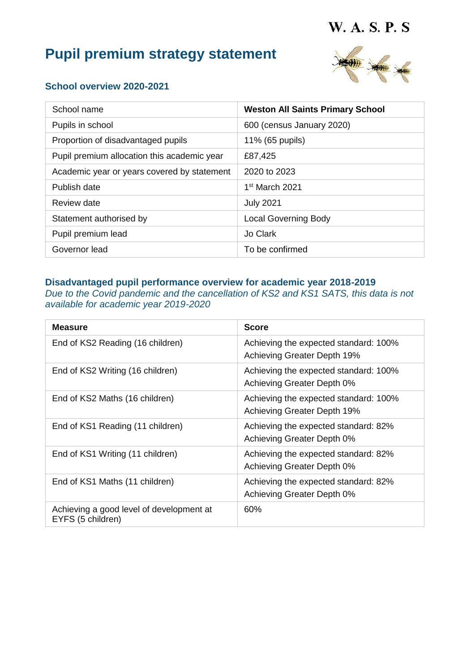# **Pupil premium strategy statement**



#### **School overview 2020-2021**

| School name                                 | <b>Weston All Saints Primary School</b> |
|---------------------------------------------|-----------------------------------------|
| Pupils in school                            | 600 (census January 2020)               |
| Proportion of disadvantaged pupils          | 11% (65 pupils)                         |
| Pupil premium allocation this academic year | £87,425                                 |
| Academic year or years covered by statement | 2020 to 2023                            |
| Publish date                                | $1st$ March 2021                        |
| Review date                                 | <b>July 2021</b>                        |
| Statement authorised by                     | <b>Local Governing Body</b>             |
| Pupil premium lead                          | Jo Clark                                |
| Governor lead                               | To be confirmed                         |

#### **Disadvantaged pupil performance overview for academic year 2018-2019**

*Due to the Covid pandemic and the cancellation of KS2 and KS1 SATS, this data is not available for academic year 2019-2020*

| <b>Measure</b>                                                | <b>Score</b>                                                         |
|---------------------------------------------------------------|----------------------------------------------------------------------|
| End of KS2 Reading (16 children)                              | Achieving the expected standard: 100%<br>Achieving Greater Depth 19% |
| End of KS2 Writing (16 children)                              | Achieving the expected standard: 100%<br>Achieving Greater Depth 0%  |
| End of KS2 Maths (16 children)                                | Achieving the expected standard: 100%<br>Achieving Greater Depth 19% |
| End of KS1 Reading (11 children)                              | Achieving the expected standard: 82%<br>Achieving Greater Depth 0%   |
| End of KS1 Writing (11 children)                              | Achieving the expected standard: 82%<br>Achieving Greater Depth 0%   |
| End of KS1 Maths (11 children)                                | Achieving the expected standard: 82%<br>Achieving Greater Depth 0%   |
| Achieving a good level of development at<br>EYFS (5 children) | 60%                                                                  |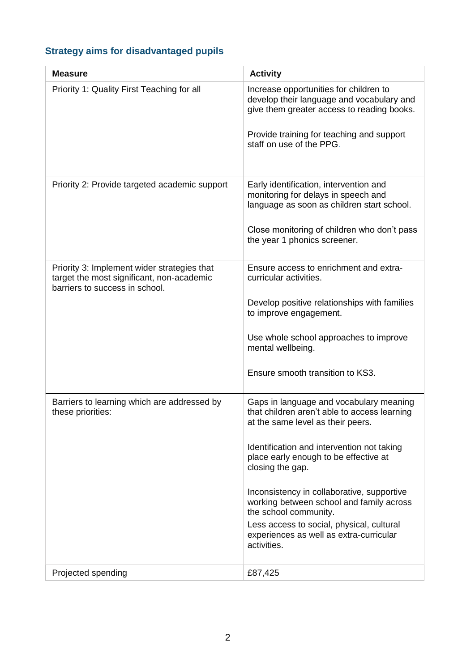# **Strategy aims for disadvantaged pupils**

| <b>Measure</b>                                                                                                             | <b>Activity</b>                                                                                                                   |
|----------------------------------------------------------------------------------------------------------------------------|-----------------------------------------------------------------------------------------------------------------------------------|
| Priority 1: Quality First Teaching for all                                                                                 | Increase opportunities for children to<br>develop their language and vocabulary and<br>give them greater access to reading books. |
|                                                                                                                            | Provide training for teaching and support<br>staff on use of the PPG.                                                             |
| Priority 2: Provide targeted academic support                                                                              | Early identification, intervention and<br>monitoring for delays in speech and<br>language as soon as children start school.       |
|                                                                                                                            | Close monitoring of children who don't pass<br>the year 1 phonics screener.                                                       |
| Priority 3: Implement wider strategies that<br>target the most significant, non-academic<br>barriers to success in school. | Ensure access to enrichment and extra-<br>curricular activities.                                                                  |
|                                                                                                                            | Develop positive relationships with families<br>to improve engagement.                                                            |
|                                                                                                                            | Use whole school approaches to improve<br>mental wellbeing.                                                                       |
|                                                                                                                            | Ensure smooth transition to KS3.                                                                                                  |
| Barriers to learning which are addressed by<br>these priorities:                                                           | Gaps in language and vocabulary meaning<br>that children aren't able to access learning<br>at the same level as their peers.      |
|                                                                                                                            | Identification and intervention not taking<br>place early enough to be effective at<br>closing the gap.                           |
|                                                                                                                            | Inconsistency in collaborative, supportive<br>working between school and family across<br>the school community.                   |
|                                                                                                                            | Less access to social, physical, cultural<br>experiences as well as extra-curricular<br>activities.                               |
| Projected spending                                                                                                         | £87,425                                                                                                                           |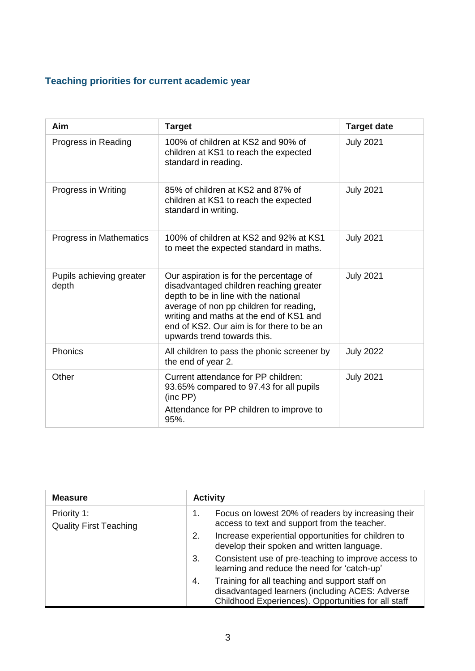# **Teaching priorities for current academic year**

| Aim                               | <b>Target</b>                                                                                                                                                                                                                                                                                 | <b>Target date</b> |
|-----------------------------------|-----------------------------------------------------------------------------------------------------------------------------------------------------------------------------------------------------------------------------------------------------------------------------------------------|--------------------|
| Progress in Reading               | 100% of children at KS2 and 90% of<br>children at KS1 to reach the expected<br>standard in reading.                                                                                                                                                                                           | <b>July 2021</b>   |
| Progress in Writing               | 85% of children at KS2 and 87% of<br>children at KS1 to reach the expected<br>standard in writing.                                                                                                                                                                                            | <b>July 2021</b>   |
| <b>Progress in Mathematics</b>    | 100% of children at KS2 and 92% at KS1<br>to meet the expected standard in maths.                                                                                                                                                                                                             | <b>July 2021</b>   |
| Pupils achieving greater<br>depth | Our aspiration is for the percentage of<br>disadvantaged children reaching greater<br>depth to be in line with the national<br>average of non pp children for reading,<br>writing and maths at the end of KS1 and<br>end of KS2. Our aim is for there to be an<br>upwards trend towards this. | <b>July 2021</b>   |
| Phonics                           | All children to pass the phonic screener by<br>the end of year 2.                                                                                                                                                                                                                             | <b>July 2022</b>   |
| Other                             | Current attendance for PP children:<br>93.65% compared to 97.43 for all pupils<br>(inc PP)<br>Attendance for PP children to improve to<br>95%.                                                                                                                                                | <b>July 2021</b>   |

| <b>Measure</b>                               | <b>Activity</b>                                                                                                                                                |  |
|----------------------------------------------|----------------------------------------------------------------------------------------------------------------------------------------------------------------|--|
| Priority 1:<br><b>Quality First Teaching</b> | Focus on lowest 20% of readers by increasing their<br>1.<br>access to text and support from the teacher.                                                       |  |
|                                              | Increase experiential opportunities for children to<br>2.<br>develop their spoken and written language.                                                        |  |
|                                              | Consistent use of pre-teaching to improve access to<br>3.<br>learning and reduce the need for 'catch-up'                                                       |  |
|                                              | Training for all teaching and support staff on<br>4.<br>disadvantaged learners (including ACES: Adverse<br>Childhood Experiences). Opportunities for all staff |  |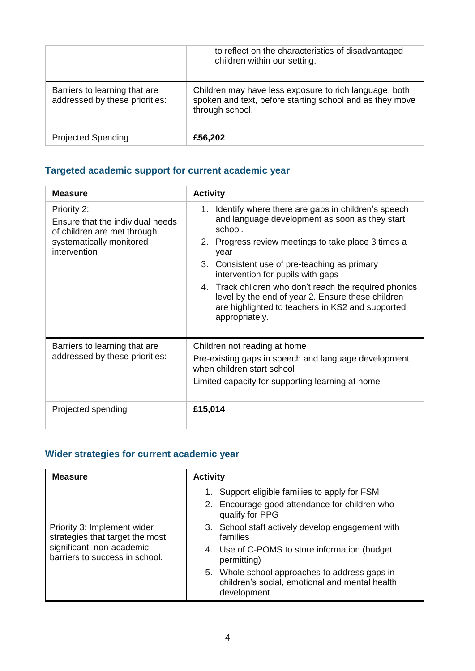|                                                                 | to reflect on the characteristics of disadvantaged<br>children within our setting.                                                    |
|-----------------------------------------------------------------|---------------------------------------------------------------------------------------------------------------------------------------|
| Barriers to learning that are<br>addressed by these priorities: | Children may have less exposure to rich language, both<br>spoken and text, before starting school and as they move<br>through school. |
| <b>Projected Spending</b>                                       | £56,202                                                                                                                               |

# **Targeted academic support for current academic year**

| <b>Measure</b>                                                                                                             | <b>Activity</b>                                                                                                                                                                                                                                                                                                                                                                                                                                             |  |
|----------------------------------------------------------------------------------------------------------------------------|-------------------------------------------------------------------------------------------------------------------------------------------------------------------------------------------------------------------------------------------------------------------------------------------------------------------------------------------------------------------------------------------------------------------------------------------------------------|--|
| Priority 2:<br>Ensure that the individual needs<br>of children are met through<br>systematically monitored<br>intervention | 1. Identify where there are gaps in children's speech<br>and language development as soon as they start<br>school.<br>2. Progress review meetings to take place 3 times a<br>year<br>3. Consistent use of pre-teaching as primary<br>intervention for pupils with gaps<br>4. Track children who don't reach the required phonics<br>level by the end of year 2. Ensure these children<br>are highlighted to teachers in KS2 and supported<br>appropriately. |  |
| Barriers to learning that are<br>addressed by these priorities:                                                            | Children not reading at home<br>Pre-existing gaps in speech and language development<br>when children start school<br>Limited capacity for supporting learning at home                                                                                                                                                                                                                                                                                      |  |
| Projected spending                                                                                                         | £15,014                                                                                                                                                                                                                                                                                                                                                                                                                                                     |  |

# **Wider strategies for current academic year**

| <b>Measure</b>                                                 | <b>Activity</b>                                                                                                |  |
|----------------------------------------------------------------|----------------------------------------------------------------------------------------------------------------|--|
|                                                                | Support eligible families to apply for FSM<br>1.                                                               |  |
|                                                                | 2. Encourage good attendance for children who<br>qualify for PPG                                               |  |
| Priority 3: Implement wider<br>strategies that target the most | 3. School staff actively develop engagement with<br>families                                                   |  |
| significant, non-academic<br>barriers to success in school.    | 4. Use of C-POMS to store information (budget)<br>permitting)                                                  |  |
|                                                                | 5. Whole school approaches to address gaps in<br>children's social, emotional and mental health<br>development |  |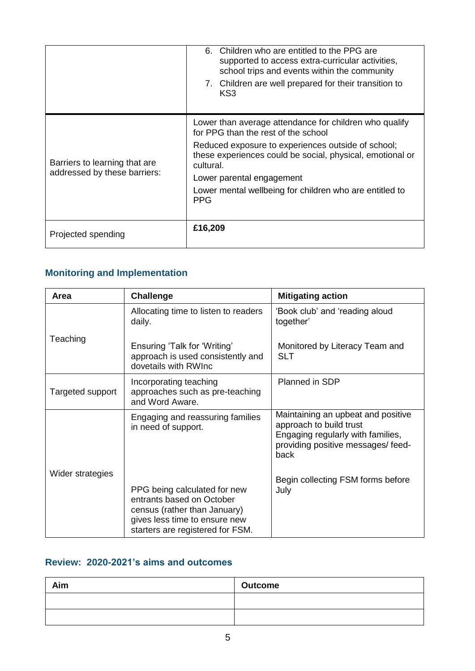|                                                               | Children who are entitled to the PPG are<br>6.<br>supported to access extra-curricular activities,<br>school trips and events within the community<br>7. Children are well prepared for their transition to<br>KS3                                                                                                                  |
|---------------------------------------------------------------|-------------------------------------------------------------------------------------------------------------------------------------------------------------------------------------------------------------------------------------------------------------------------------------------------------------------------------------|
| Barriers to learning that are<br>addressed by these barriers: | Lower than average attendance for children who qualify<br>for PPG than the rest of the school<br>Reduced exposure to experiences outside of school;<br>these experiences could be social, physical, emotional or<br>cultural.<br>Lower parental engagement<br>Lower mental wellbeing for children who are entitled to<br><b>PPG</b> |
| Projected spending                                            | £16,209                                                                                                                                                                                                                                                                                                                             |

# **Monitoring and Implementation**

| Area             | <b>Challenge</b>                                                                                                                                               | <b>Mitigating action</b>                                                                                                                        |
|------------------|----------------------------------------------------------------------------------------------------------------------------------------------------------------|-------------------------------------------------------------------------------------------------------------------------------------------------|
|                  | Allocating time to listen to readers<br>daily.                                                                                                                 | 'Book club' and 'reading aloud<br>together'                                                                                                     |
| Teaching         | Ensuring 'Talk for 'Writing'<br>approach is used consistently and<br>dovetails with RWInc                                                                      | Monitored by Literacy Team and<br><b>SLT</b>                                                                                                    |
| Targeted support | Incorporating teaching<br>approaches such as pre-teaching<br>and Word Aware.                                                                                   | Planned in SDP                                                                                                                                  |
|                  | Engaging and reassuring families<br>in need of support.                                                                                                        | Maintaining an upbeat and positive<br>approach to build trust<br>Engaging regularly with families,<br>providing positive messages/feed-<br>back |
| Wider strategies | PPG being calculated for new<br>entrants based on October<br>census (rather than January)<br>gives less time to ensure new<br>starters are registered for FSM. | Begin collecting FSM forms before<br>July                                                                                                       |

#### **Review: 2020-2021's aims and outcomes**

| Aim | <b>Outcome</b> |
|-----|----------------|
|     |                |
|     |                |